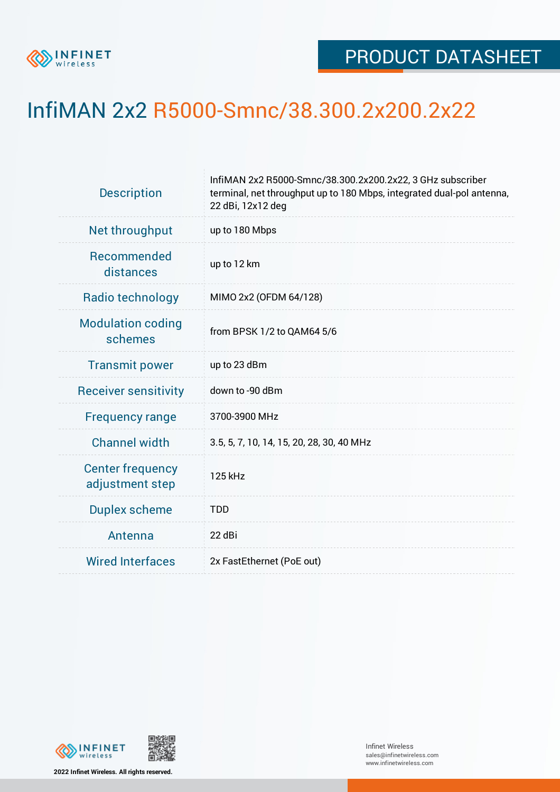

## InfiMAN 2x2 R5000-Smnc/38.300.2x200.2x22

| <b>Description</b>                         | InfiMAN 2x2 R5000-Smnc/38.300.2x200.2x22, 3 GHz subscriber<br>terminal, net throughput up to 180 Mbps, integrated dual-pol antenna,<br>22 dBi, 12x12 deg |  |  |  |  |
|--------------------------------------------|----------------------------------------------------------------------------------------------------------------------------------------------------------|--|--|--|--|
| Net throughput                             | up to 180 Mbps                                                                                                                                           |  |  |  |  |
| Recommended<br>distances                   | up to 12 km                                                                                                                                              |  |  |  |  |
| Radio technology                           | MIMO 2x2 (OFDM 64/128)                                                                                                                                   |  |  |  |  |
| <b>Modulation coding</b><br>schemes        | from BPSK 1/2 to QAM64 5/6                                                                                                                               |  |  |  |  |
| <b>Transmit power</b>                      | up to 23 dBm                                                                                                                                             |  |  |  |  |
| <b>Receiver sensitivity</b>                | down to -90 dBm                                                                                                                                          |  |  |  |  |
| <b>Frequency range</b>                     | 3700-3900 MHz                                                                                                                                            |  |  |  |  |
| <b>Channel width</b>                       | 3.5, 5, 7, 10, 14, 15, 20, 28, 30, 40 MHz                                                                                                                |  |  |  |  |
| <b>Center frequency</b><br>adjustment step | 125 kHz                                                                                                                                                  |  |  |  |  |
| <b>Duplex scheme</b>                       | <b>TDD</b>                                                                                                                                               |  |  |  |  |
| Antenna                                    | 22 dBi                                                                                                                                                   |  |  |  |  |
| <b>Wired Interfaces</b>                    | 2x FastEthernet (PoE out)                                                                                                                                |  |  |  |  |



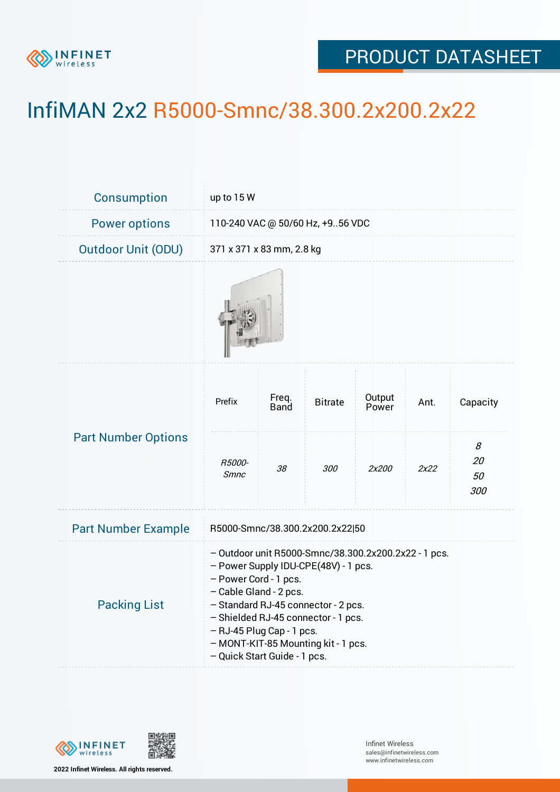

## PRODUCT DATASHEET

## InfiMAN 2x2 R5000-Smnc/38.300.2x200.2x22

| Consumption                | up to 15 W                                                                                                                                                                                                                                                                                                                        |               |                |                 |      |                             |  |  |
|----------------------------|-----------------------------------------------------------------------------------------------------------------------------------------------------------------------------------------------------------------------------------------------------------------------------------------------------------------------------------|---------------|----------------|-----------------|------|-----------------------------|--|--|
| <b>Power options</b>       | 110-240 VAC @ 50/60 Hz, +956 VDC                                                                                                                                                                                                                                                                                                  |               |                |                 |      |                             |  |  |
| <b>Outdoor Unit (ODU)</b>  | 371 x 371 x 83 mm, 2.8 kg                                                                                                                                                                                                                                                                                                         |               |                |                 |      |                             |  |  |
|                            |                                                                                                                                                                                                                                                                                                                                   |               |                |                 |      |                             |  |  |
| <b>Part Number Options</b> | Prefix                                                                                                                                                                                                                                                                                                                            | Freq.<br>Band | <b>Bitrate</b> | Output<br>Power | Ant. | Capacity                    |  |  |
|                            | R5000-<br><b>Smnc</b>                                                                                                                                                                                                                                                                                                             | 38            | 300            | 2x200           | 2x22 | 8<br><i>20</i><br>50<br>300 |  |  |
| <b>Part Number Example</b> | R5000-Smnc/38.300.2x200.2x22 50                                                                                                                                                                                                                                                                                                   |               |                |                 |      |                             |  |  |
| <b>Packing List</b>        | - Outdoor unit R5000-Smnc/38.300.2x200.2x22 - 1 pcs.<br>- Power Supply IDU-CPE(48V) - 1 pcs.<br>- Power Cord - 1 pcs.<br>- Cable Gland - 2 pcs.<br>- Standard RJ-45 connector - 2 pcs.<br>- Shielded RJ-45 connector - 1 pcs.<br>- RJ-45 Plug Cap - 1 pcs.<br>- MONT-KIT-85 Mounting kit - 1 pcs.<br>- Quick Start Guide - 1 pcs. |               |                |                 |      |                             |  |  |



**2022 Infinet Wireless. All rights reserved.**

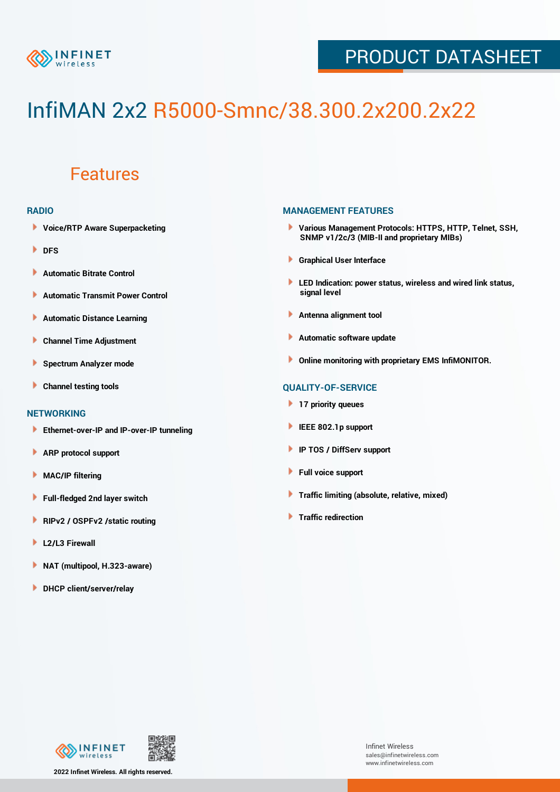

## PRODUCT DATASHEET

# InfiMAN 2x2 R5000-Smnc/38.300.2x200.2x22

### Features

#### **RADIO**

- **Voice/RTP Aware Superpacketing**
- **DFS**
- **Automatic Bitrate Control** Þ
- Þ **Automatic Transmit Power Control**
- Þ **Automatic Distance Learning**
- Þ **Channel Time Adjustment**
- Þ **Spectrum Analyzer mode**
- ь **Channel testing tools**

#### **NETWORKING**

- **Ethernet-over-IP and IP-over-IP tunneling**
- Þ **ARP protocol support**
- Þ **MAC/IP filtering**
- Þ **Full-fledged 2nd layer switch**
- Þ **RIPv2 / OSPFv2 /static routing**
- ۱ **L2/L3 Firewall**
- ١ **NAT (multipool, H.323-aware)**
- **DHCP client/server/relay**

#### **MANAGEMENT FEATURES**

- **Various Management Protocols: HTTPS, HTTP, Telnet, SSH, SNMP v1/2c/3 (MIB-II and proprietary MIBs)**
- **Graphical User Interface**
- **LED Indication: power status, wireless and wired link status, signal level**
- **Antenna alignment tool**
- ٠ **Automatic software update**
- **Online monitoring with proprietary EMS InfiMONITOR.**

#### **QUALITY-OF-SERVICE**

- **17 priority queues**
- **IEEE 802.1p support**
- **IP TOS / DiffServ support**
- ٠ **Full voice support**
- **Traffic limiting (absolute, relative, mixed)** ٠
- **Traffic redirection**